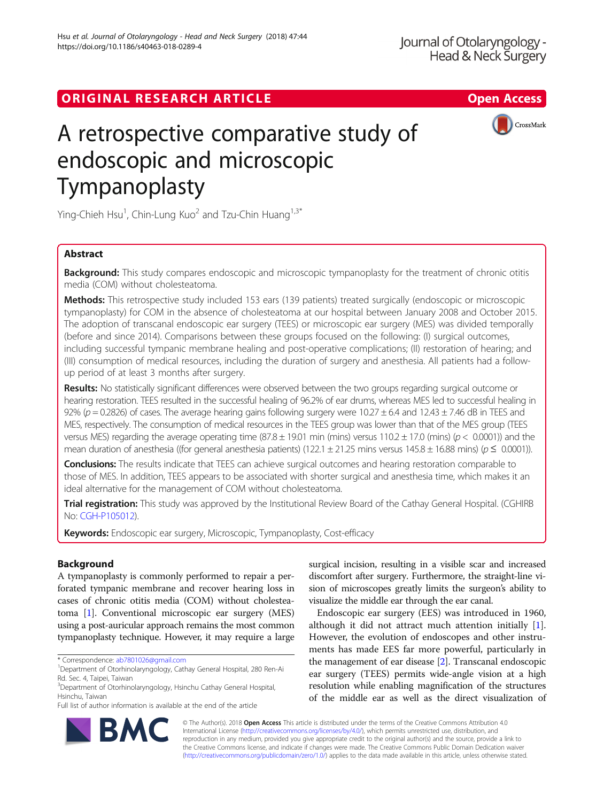# ORIGINAL RESEARCH ARTICLE **Solution Contract Contract Contract Contract Contract Contract Contract Contract Contract Contract Contract Contract Contract Contract Contract Contract Contract Contract Contract Contract Contra**



# A retrospective comparative study of endoscopic and microscopic Tympanoplasty

Ying-Chieh Hsu<sup>1</sup>, Chin-Lung Kuo<sup>2</sup> and Tzu-Chin Huang<sup>1,3\*</sup>

## Abstract

**Background:** This study compares endoscopic and microscopic tympanoplasty for the treatment of chronic otitis media (COM) without cholesteatoma.

Methods: This retrospective study included 153 ears (139 patients) treated surgically (endoscopic or microscopic tympanoplasty) for COM in the absence of cholesteatoma at our hospital between January 2008 and October 2015. The adoption of transcanal endoscopic ear surgery (TEES) or microscopic ear surgery (MES) was divided temporally (before and since 2014). Comparisons between these groups focused on the following: (I) surgical outcomes, including successful tympanic membrane healing and post-operative complications; (II) restoration of hearing; and (III) consumption of medical resources, including the duration of surgery and anesthesia. All patients had a followup period of at least 3 months after surgery.

Results: No statistically significant differences were observed between the two groups regarding surgical outcome or hearing restoration. TEES resulted in the successful healing of 96.2% of ear drums, whereas MES led to successful healing in 92% ( $p = 0.2826$ ) of cases. The average hearing gains following surgery were 10.27  $\pm$  6.4 and 12.43  $\pm$  7.46 dB in TEES and MES, respectively. The consumption of medical resources in the TEES group was lower than that of the MES group (TEES versus MES) regarding the average operating time (87.8  $\pm$  19.01 min (mins) versus 110.2  $\pm$  17.0 (mins) ( $p$  < 0.0001)) and the mean duration of anesthesia ((for general anesthesia patients) (122.1 ± 21.25 mins versus 145.8 ± 16.88 mins) ( $p \le 0.0001$ )).

Conclusions: The results indicate that TEES can achieve surgical outcomes and hearing restoration comparable to those of MES. In addition, TEES appears to be associated with shorter surgical and anesthesia time, which makes it an ideal alternative for the management of COM without cholesteatoma.

Trial registration: This study was approved by the Institutional Review Board of the Cathay General Hospital. (CGHIRB No: [CGH-P105012\)](https://www.cgh.org.tw/en/).

Keywords: Endoscopic ear surgery, Microscopic, Tympanoplasty, Cost-efficacy

### Background

A tympanoplasty is commonly performed to repair a perforated tympanic membrane and recover hearing loss in cases of chronic otitis media (COM) without cholesteatoma [\[1](#page-6-0)]. Conventional microscopic ear surgery (MES) using a post-auricular approach remains the most common tympanoplasty technique. However, it may require a large

\* Correspondence: [ab7801026@gmail.com](mailto:ab7801026@gmail.com) <sup>1</sup>

<sup>3</sup>Department of Otorhinolaryngology, Hsinchu Cathay General Hospital, Hsinchu, Taiwan

Full list of author information is available at the end of the article

surgical incision, resulting in a visible scar and increased discomfort after surgery. Furthermore, the straight-line vision of microscopes greatly limits the surgeon's ability to visualize the middle ear through the ear canal.

Endoscopic ear surgery (EES) was introduced in 1960, although it did not attract much attention initially [\[1](#page-6-0)]. However, the evolution of endoscopes and other instruments has made EES far more powerful, particularly in the management of ear disease [\[2\]](#page-6-0). Transcanal endoscopic ear surgery (TEES) permits wide-angle vision at a high resolution while enabling magnification of the structures of the middle ear as well as the direct visualization of



© The Author(s). 2018 Open Access This article is distributed under the terms of the Creative Commons Attribution 4.0 International License [\(http://creativecommons.org/licenses/by/4.0/](http://creativecommons.org/licenses/by/4.0/)), which permits unrestricted use, distribution, and reproduction in any medium, provided you give appropriate credit to the original author(s) and the source, provide a link to the Creative Commons license, and indicate if changes were made. The Creative Commons Public Domain Dedication waiver [\(http://creativecommons.org/publicdomain/zero/1.0/](http://creativecommons.org/publicdomain/zero/1.0/)) applies to the data made available in this article, unless otherwise stated.

Department of Otorhinolaryngology, Cathay General Hospital, 280 Ren-Ai Rd. Sec. 4, Taipei, Taiwan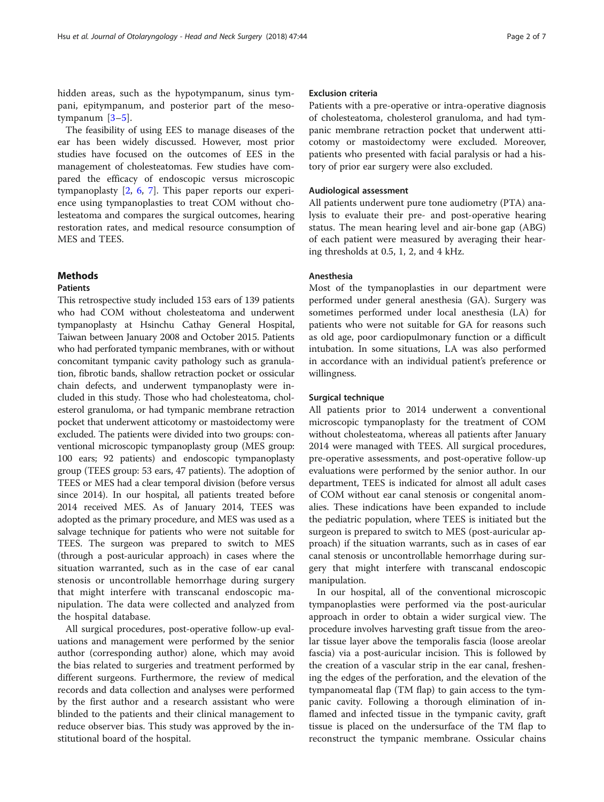hidden areas, such as the hypotympanum, sinus tympani, epitympanum, and posterior part of the mesotympanum [[3](#page-6-0)–[5\]](#page-6-0).

The feasibility of using EES to manage diseases of the ear has been widely discussed. However, most prior studies have focused on the outcomes of EES in the management of cholesteatomas. Few studies have compared the efficacy of endoscopic versus microscopic tympanoplasty [[2,](#page-6-0) [6,](#page-6-0) [7](#page-6-0)]. This paper reports our experience using tympanoplasties to treat COM without cholesteatoma and compares the surgical outcomes, hearing restoration rates, and medical resource consumption of MES and TEES.

#### **Methods**

#### **Patients**

This retrospective study included 153 ears of 139 patients who had COM without cholesteatoma and underwent tympanoplasty at Hsinchu Cathay General Hospital, Taiwan between January 2008 and October 2015. Patients who had perforated tympanic membranes, with or without concomitant tympanic cavity pathology such as granulation, fibrotic bands, shallow retraction pocket or ossicular chain defects, and underwent tympanoplasty were included in this study. Those who had cholesteatoma, cholesterol granuloma, or had tympanic membrane retraction pocket that underwent atticotomy or mastoidectomy were excluded. The patients were divided into two groups: conventional microscopic tympanoplasty group (MES group: 100 ears; 92 patients) and endoscopic tympanoplasty group (TEES group: 53 ears, 47 patients). The adoption of TEES or MES had a clear temporal division (before versus since 2014). In our hospital, all patients treated before 2014 received MES. As of January 2014, TEES was adopted as the primary procedure, and MES was used as a salvage technique for patients who were not suitable for TEES. The surgeon was prepared to switch to MES (through a post-auricular approach) in cases where the situation warranted, such as in the case of ear canal stenosis or uncontrollable hemorrhage during surgery that might interfere with transcanal endoscopic manipulation. The data were collected and analyzed from the hospital database.

All surgical procedures, post-operative follow-up evaluations and management were performed by the senior author (corresponding author) alone, which may avoid the bias related to surgeries and treatment performed by different surgeons. Furthermore, the review of medical records and data collection and analyses were performed by the first author and a research assistant who were blinded to the patients and their clinical management to reduce observer bias. This study was approved by the institutional board of the hospital.

#### Exclusion criteria

Patients with a pre-operative or intra-operative diagnosis of cholesteatoma, cholesterol granuloma, and had tympanic membrane retraction pocket that underwent atticotomy or mastoidectomy were excluded. Moreover, patients who presented with facial paralysis or had a history of prior ear surgery were also excluded.

#### Audiological assessment

All patients underwent pure tone audiometry (PTA) analysis to evaluate their pre- and post-operative hearing status. The mean hearing level and air-bone gap (ABG) of each patient were measured by averaging their hearing thresholds at 0.5, 1, 2, and 4 kHz.

#### Anesthesia

Most of the tympanoplasties in our department were performed under general anesthesia (GA). Surgery was sometimes performed under local anesthesia (LA) for patients who were not suitable for GA for reasons such as old age, poor cardiopulmonary function or a difficult intubation. In some situations, LA was also performed in accordance with an individual patient's preference or willingness.

#### Surgical technique

All patients prior to 2014 underwent a conventional microscopic tympanoplasty for the treatment of COM without cholesteatoma, whereas all patients after January 2014 were managed with TEES. All surgical procedures, pre-operative assessments, and post-operative follow-up evaluations were performed by the senior author. In our department, TEES is indicated for almost all adult cases of COM without ear canal stenosis or congenital anomalies. These indications have been expanded to include the pediatric population, where TEES is initiated but the surgeon is prepared to switch to MES (post-auricular approach) if the situation warrants, such as in cases of ear canal stenosis or uncontrollable hemorrhage during surgery that might interfere with transcanal endoscopic manipulation.

In our hospital, all of the conventional microscopic tympanoplasties were performed via the post-auricular approach in order to obtain a wider surgical view. The procedure involves harvesting graft tissue from the areolar tissue layer above the temporalis fascia (loose areolar fascia) via a post-auricular incision. This is followed by the creation of a vascular strip in the ear canal, freshening the edges of the perforation, and the elevation of the tympanomeatal flap (TM flap) to gain access to the tympanic cavity. Following a thorough elimination of inflamed and infected tissue in the tympanic cavity, graft tissue is placed on the undersurface of the TM flap to reconstruct the tympanic membrane. Ossicular chains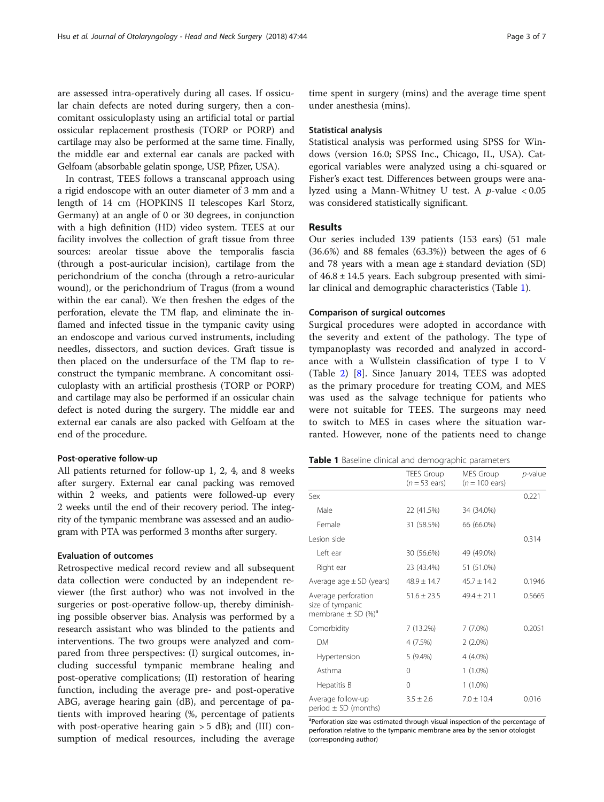are assessed intra-operatively during all cases. If ossicular chain defects are noted during surgery, then a concomitant ossiculoplasty using an artificial total or partial ossicular replacement prosthesis (TORP or PORP) and cartilage may also be performed at the same time. Finally, the middle ear and external ear canals are packed with Gelfoam (absorbable gelatin sponge, USP, Pfizer, USA).

In contrast, TEES follows a transcanal approach using a rigid endoscope with an outer diameter of 3 mm and a length of 14 cm (HOPKINS II telescopes Karl Storz, Germany) at an angle of 0 or 30 degrees, in conjunction with a high definition (HD) video system. TEES at our facility involves the collection of graft tissue from three sources: areolar tissue above the temporalis fascia (through a post-auricular incision), cartilage from the perichondrium of the concha (through a retro-auricular wound), or the perichondrium of Tragus (from a wound within the ear canal). We then freshen the edges of the perforation, elevate the TM flap, and eliminate the inflamed and infected tissue in the tympanic cavity using an endoscope and various curved instruments, including needles, dissectors, and suction devices. Graft tissue is then placed on the undersurface of the TM flap to reconstruct the tympanic membrane. A concomitant ossiculoplasty with an artificial prosthesis (TORP or PORP) and cartilage may also be performed if an ossicular chain defect is noted during the surgery. The middle ear and external ear canals are also packed with Gelfoam at the end of the procedure.

#### Post-operative follow-up

All patients returned for follow-up 1, 2, 4, and 8 weeks after surgery. External ear canal packing was removed within 2 weeks, and patients were followed-up every 2 weeks until the end of their recovery period. The integrity of the tympanic membrane was assessed and an audiogram with PTA was performed 3 months after surgery.

#### Evaluation of outcomes

Retrospective medical record review and all subsequent data collection were conducted by an independent reviewer (the first author) who was not involved in the surgeries or post-operative follow-up, thereby diminishing possible observer bias. Analysis was performed by a research assistant who was blinded to the patients and interventions. The two groups were analyzed and compared from three perspectives: (I) surgical outcomes, including successful tympanic membrane healing and post-operative complications; (II) restoration of hearing function, including the average pre- and post-operative ABG, average hearing gain (dB), and percentage of patients with improved hearing (%, percentage of patients with post-operative hearing gain  $>$  5 dB); and (III) consumption of medical resources, including the average

time spent in surgery (mins) and the average time spent under anesthesia (mins).

#### Statistical analysis

Statistical analysis was performed using SPSS for Windows (version 16.0; SPSS Inc., Chicago, IL, USA). Categorical variables were analyzed using a chi-squared or Fisher's exact test. Differences between groups were analyzed using a Mann-Whitney U test. A p-value < 0.05 was considered statistically significant.

#### Results

Our series included 139 patients (153 ears) (51 male  $(36.6%)$  and 88 females  $(63.3%)$  between the ages of 6 and 78 years with a mean age  $\pm$  standard deviation (SD) of  $46.8 \pm 14.5$  years. Each subgroup presented with similar clinical and demographic characteristics (Table 1).

#### Comparison of surgical outcomes

Surgical procedures were adopted in accordance with the severity and extent of the pathology. The type of tympanoplasty was recorded and analyzed in accordance with a Wullstein classification of type I to V (Table [2](#page-3-0)) [[8\]](#page-6-0). Since January 2014, TEES was adopted as the primary procedure for treating COM, and MES was used as the salvage technique for patients who were not suitable for TEES. The surgeons may need to switch to MES in cases where the situation warranted. However, none of the patients need to change

| Table 1 Baseline clinical and demographic parameters |  |
|------------------------------------------------------|--|
|------------------------------------------------------|--|

|                                                                               | <b>TEES Group</b><br>$(n=53$ ears) | MES Group<br>$(n = 100 \text{ ears})$ | p-value |
|-------------------------------------------------------------------------------|------------------------------------|---------------------------------------|---------|
| Sex                                                                           |                                    |                                       | 0.221   |
| Male                                                                          | 22 (41.5%)                         | 34 (34.0%)                            |         |
| Female                                                                        | 31 (58.5%)                         | 66 (66.0%)                            |         |
| Lesion side                                                                   |                                    |                                       | 0.314   |
| I eft ear                                                                     | 30 (56.6%)                         | 49 (49.0%)                            |         |
| Right ear                                                                     | 23 (43.4%)                         | 51 (51.0%)                            |         |
| Average age $\pm$ SD (years)                                                  | $48.9 + 14.7$                      | $45.7 + 14.2$                         | 0.1946  |
| Average perforation<br>size of tympanic<br>membrane $\pm$ SD (%) <sup>a</sup> | $51.6 \pm 23.5$                    | $49.4 + 21.1$                         | 0.5665  |
| Comorbidity                                                                   | 7 (13.2%)                          | $7(7.0\%)$                            | 0.2051  |
| <b>DM</b>                                                                     | 4 (7.5%)                           | $2(2.0\%)$                            |         |
| Hypertension                                                                  | $5(9.4\%)$                         | 4 (4.0%)                              |         |
| Asthma                                                                        | 0                                  | $1(1.0\%)$                            |         |
| Hepatitis B                                                                   | 0                                  | $1(1.0\%)$                            |         |
| Average follow-up<br>period $\pm$ SD (months)                                 | $3.5 \pm 2.6$                      | $7.0 + 10.4$                          | 0.016   |

<sup>a</sup>Perforation size was estimated through visual inspection of the percentage of perforation relative to the tympanic membrane area by the senior otologist (corresponding author)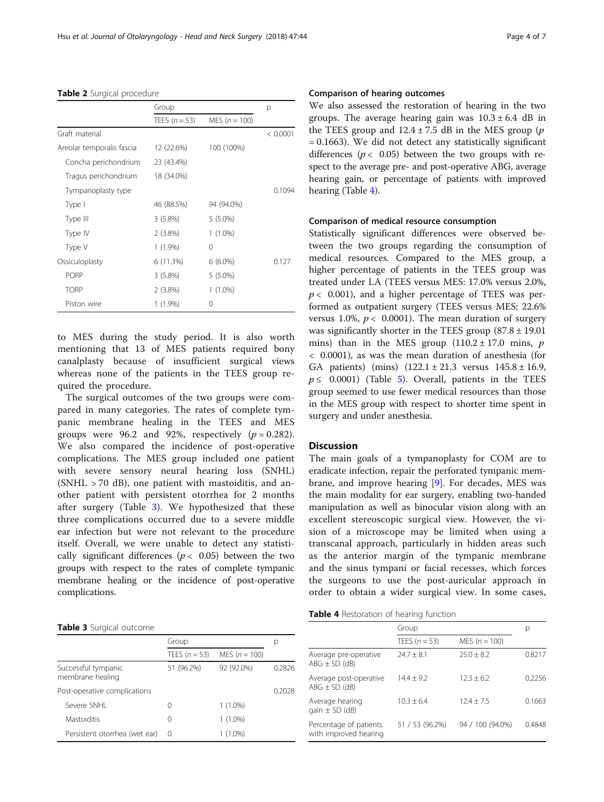#### <span id="page-3-0"></span>Table 2 Surgical procedure

|                           | Group           |                 | p        |
|---------------------------|-----------------|-----------------|----------|
|                           | TEES $(n = 53)$ | MES $(n = 100)$ |          |
| Graft material            |                 |                 | < 0.0001 |
| Areolar temporalis fascia | 12 (22.6%)      | 100 (100%)      |          |
| Concha perichondrium      | 23 (43.4%)      |                 |          |
| Tragus perichondrium      | 18 (34.0%)      |                 |          |
| Tympanoplasty type        |                 |                 | 0.1094   |
| Type I                    | 46 (88.5%)      | 94 (94.0%)      |          |
| Type III                  | 3(5.8%)         | $5(5.0\%)$      |          |
| Type IV                   | $2(3.8\%)$      | $1(1.0\%)$      |          |
| Type V                    | $1(1.9\%)$      | $\Omega$        |          |
| Ossiculoplasty            | 6 (11.3%)       | $6(6.0\%)$      | 0.127    |
| <b>PORP</b>               | 3(5.8%)         | $5(5.0\%)$      |          |
| <b>TORP</b>               | $2(3.8\%)$      | $1(1.0\%)$      |          |
| Piston wire               | $1(1.9\%)$      | 0               |          |

to MES during the study period. It is also worth mentioning that 13 of MES patients required bony canalplasty because of insufficient surgical views whereas none of the patients in the TEES group required the procedure.

The surgical outcomes of the two groups were compared in many categories. The rates of complete tympanic membrane healing in the TEES and MES groups were 96.2 and 92%, respectively  $(p = 0.282)$ . We also compared the incidence of post-operative complications. The MES group included one patient with severe sensory neural hearing loss (SNHL) (SNHL > 70 dB), one patient with mastoiditis, and another patient with persistent otorrhea for 2 months after surgery (Table 3). We hypothesized that these three complications occurred due to a severe middle ear infection but were not relevant to the procedure itself. Overall, we were unable to detect any statistically significant differences ( $p < 0.05$ ) between the two groups with respect to the rates of complete tympanic membrane healing or the incidence of post-operative complications.

#### Table 3 Surgical outcome

|                                         | Group            |                 | p      |
|-----------------------------------------|------------------|-----------------|--------|
|                                         | TEES $(n = 53)$  | MES $(n = 100)$ |        |
| Successful tympanic<br>membrane healing | 51 (96.2%)       | 92 (92.0%)      | 02826  |
| Post-operative complications            |                  |                 | 0.2028 |
| Severe SNHI                             |                  | $1(1.0\%)$      |        |
| Mastoiditis                             | $\left( \right)$ | $1(1.0\%)$      |        |
| Persistent otorrhea (wet ear)           | $\left( \right)$ | $1(1.0\%)$      |        |

We also assessed the restoration of hearing in the two groups. The average hearing gain was  $10.3 \pm 6.4$  dB in the TEES group and  $12.4 \pm 7.5$  dB in the MES group (*p* = 0.1663). We did not detect any statistically significant differences ( $p < 0.05$ ) between the two groups with respect to the average pre- and post-operative ABG, average hearing gain, or percentage of patients with improved hearing (Table 4).

#### Comparison of medical resource consumption

Statistically significant differences were observed between the two groups regarding the consumption of medical resources. Compared to the MES group, a higher percentage of patients in the TEES group was treated under LA (TEES versus MES: 17.0% versus 2.0%,  $p < 0.001$ ), and a higher percentage of TEES was performed as outpatient surgery (TEES versus MES: 22.6% versus 1.0%,  $p < 0.0001$ ). The mean duration of surgery was significantly shorter in the TEES group  $(87.8 \pm 19.01)$ mins) than in the MES group  $(110.2 \pm 17.0 \text{ mins}, p)$ < 0.0001), as was the mean duration of anesthesia (for GA patients) (mins) (122.1 ± 21.3 versus 145.8 ± 16.9,  $p \leq 0.0001$ ) (Table [5\)](#page-4-0). Overall, patients in the TEES group seemed to use fewer medical resources than those in the MES group with respect to shorter time spent in surgery and under anesthesia.

#### **Discussion**

The main goals of a tympanoplasty for COM are to eradicate infection, repair the perforated tympanic membrane, and improve hearing [[9\]](#page-6-0). For decades, MES was the main modality for ear surgery, enabling two-handed manipulation as well as binocular vision along with an excellent stereoscopic surgical view. However, the vision of a microscope may be limited when using a transcanal approach, particularly in hidden areas such as the anterior margin of the tympanic membrane and the sinus tympani or facial recesses, which forces the surgeons to use the post-auricular approach in order to obtain a wider surgical view. In some cases,

#### Table 4 Restoration of hearing function

|                                                 | Group           |                  | p      |
|-------------------------------------------------|-----------------|------------------|--------|
|                                                 | TEES $(n = 53)$ | MES $(n = 100)$  |        |
| Average pre-operative<br>$ABG \pm SD$ (dB)      | $74.7 + 8.1$    | $75.0 \pm 8.2$   | 0.8217 |
| Average post-operative<br>$ABG \pm SD$ (dB)     | $14.4 + 9.2$    | $12.3 + 6.2$     | 0.2256 |
| Average hearing<br>$qain \pm SD$ (dB)           | $10.3 + 6.4$    | $12.4 + 7.5$     | 0.1663 |
| Percentage of patients<br>with improved hearing | 51 / 53 (96.2%) | 94 / 100 (94.0%) | 0.4848 |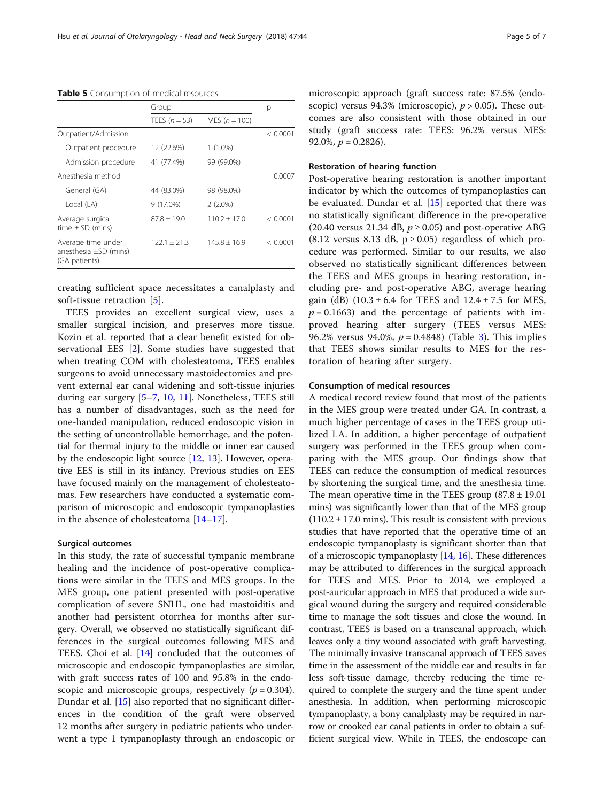<span id="page-4-0"></span>Table 5 Consumption of medical resources

|                                                                   | Group           |                 | р        |
|-------------------------------------------------------------------|-----------------|-----------------|----------|
|                                                                   | TEES $(n = 53)$ | MES $(n = 100)$ |          |
| Outpatient/Admission                                              |                 |                 | < 0.0001 |
| Outpatient procedure                                              | 12 (22.6%)      | $1(1.0\%)$      |          |
| Admission procedure                                               | 41 (77.4%)      | 99 (99.0%)      |          |
| Anesthesia method                                                 |                 |                 | 0.0007   |
| General (GA)                                                      | 44 (83.0%)      | 98 (98.0%)      |          |
| Local (LA)                                                        | $9(17.0\%)$     | $2(2.0\%)$      |          |
| Average surgical<br>time $\pm$ SD (mins)                          | $87.8 + 19.0$   | $110.2 + 17.0$  | < 0.0001 |
| Average time under<br>anesthesia $\pm$ SD (mins)<br>(GA patients) | $122.1 + 21.3$  | $145.8 + 16.9$  | < 0.0001 |

creating sufficient space necessitates a canalplasty and soft-tissue retraction [[5\]](#page-6-0).

TEES provides an excellent surgical view, uses a smaller surgical incision, and preserves more tissue. Kozin et al. reported that a clear benefit existed for observational EES [\[2](#page-6-0)]. Some studies have suggested that when treating COM with cholesteatoma, TEES enables surgeons to avoid unnecessary mastoidectomies and prevent external ear canal widening and soft-tissue injuries during ear surgery [\[5](#page-6-0)–[7](#page-6-0), [10,](#page-6-0) [11](#page-6-0)]. Nonetheless, TEES still has a number of disadvantages, such as the need for one-handed manipulation, reduced endoscopic vision in the setting of uncontrollable hemorrhage, and the potential for thermal injury to the middle or inner ear caused by the endoscopic light source [\[12](#page-6-0), [13](#page-6-0)]. However, operative EES is still in its infancy. Previous studies on EES have focused mainly on the management of cholesteatomas. Few researchers have conducted a systematic comparison of microscopic and endoscopic tympanoplasties in the absence of cholesteatoma [[14](#page-6-0)–[17](#page-6-0)].

#### Surgical outcomes

In this study, the rate of successful tympanic membrane healing and the incidence of post-operative complications were similar in the TEES and MES groups. In the MES group, one patient presented with post-operative complication of severe SNHL, one had mastoiditis and another had persistent otorrhea for months after surgery. Overall, we observed no statistically significant differences in the surgical outcomes following MES and TEES. Choi et al. [[14\]](#page-6-0) concluded that the outcomes of microscopic and endoscopic tympanoplasties are similar, with graft success rates of 100 and 95.8% in the endoscopic and microscopic groups, respectively  $(p = 0.304)$ . Dundar et al. [\[15](#page-6-0)] also reported that no significant differences in the condition of the graft were observed 12 months after surgery in pediatric patients who underwent a type 1 tympanoplasty through an endoscopic or microscopic approach (graft success rate: 87.5% (endoscopic) versus 94.3% (microscopic),  $p > 0.05$ ). These outcomes are also consistent with those obtained in our study (graft success rate: TEES: 96.2% versus MES: 92.0%,  $p = 0.2826$ ).

#### Restoration of hearing function

Post-operative hearing restoration is another important indicator by which the outcomes of tympanoplasties can be evaluated. Dundar et al. [\[15\]](#page-6-0) reported that there was no statistically significant difference in the pre-operative (20.40 versus 21.34 dB,  $p \ge 0.05$ ) and post-operative ABG  $(8.12 \text{ versus } 8.13 \text{ dB}, p \geq 0.05)$  regardless of which procedure was performed. Similar to our results, we also observed no statistically significant differences between the TEES and MES groups in hearing restoration, including pre- and post-operative ABG, average hearing gain (dB)  $(10.3 \pm 6.4 \text{ for TEES and } 12.4 \pm 7.5 \text{ for MES},$  $p = 0.1663$ ) and the percentage of patients with improved hearing after surgery (TEES versus MES: 96.2% versus 94.0%,  $p = 0.4848$ ) (Table [3](#page-3-0)). This implies that TEES shows similar results to MES for the restoration of hearing after surgery.

#### Consumption of medical resources

A medical record review found that most of the patients in the MES group were treated under GA. In contrast, a much higher percentage of cases in the TEES group utilized LA. In addition, a higher percentage of outpatient surgery was performed in the TEES group when comparing with the MES group. Our findings show that TEES can reduce the consumption of medical resources by shortening the surgical time, and the anesthesia time. The mean operative time in the TEES group  $(87.8 \pm 19.01)$ mins) was significantly lower than that of the MES group  $(110.2 \pm 17.0 \text{ mins})$ . This result is consistent with previous studies that have reported that the operative time of an endoscopic tympanoplasty is significant shorter than that of a microscopic tympanoplasty  $[14, 16]$  $[14, 16]$  $[14, 16]$  $[14, 16]$ . These differences may be attributed to differences in the surgical approach for TEES and MES. Prior to 2014, we employed a post-auricular approach in MES that produced a wide surgical wound during the surgery and required considerable time to manage the soft tissues and close the wound. In contrast, TEES is based on a transcanal approach, which leaves only a tiny wound associated with graft harvesting. The minimally invasive transcanal approach of TEES saves time in the assessment of the middle ear and results in far less soft-tissue damage, thereby reducing the time required to complete the surgery and the time spent under anesthesia. In addition, when performing microscopic tympanoplasty, a bony canalplasty may be required in narrow or crooked ear canal patients in order to obtain a sufficient surgical view. While in TEES, the endoscope can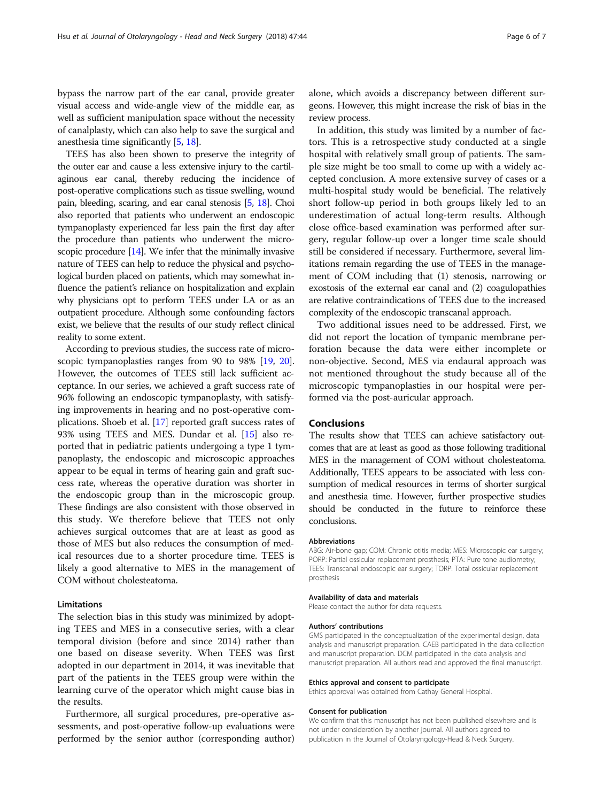bypass the narrow part of the ear canal, provide greater visual access and wide-angle view of the middle ear, as well as sufficient manipulation space without the necessity of canalplasty, which can also help to save the surgical and anesthesia time significantly [\[5,](#page-6-0) [18](#page-6-0)].

TEES has also been shown to preserve the integrity of the outer ear and cause a less extensive injury to the cartilaginous ear canal, thereby reducing the incidence of post-operative complications such as tissue swelling, wound pain, bleeding, scaring, and ear canal stenosis [[5](#page-6-0), [18](#page-6-0)]. Choi also reported that patients who underwent an endoscopic tympanoplasty experienced far less pain the first day after the procedure than patients who underwent the micro-scopic procedure [\[14\]](#page-6-0). We infer that the minimally invasive nature of TEES can help to reduce the physical and psychological burden placed on patients, which may somewhat influence the patient's reliance on hospitalization and explain why physicians opt to perform TEES under LA or as an outpatient procedure. Although some confounding factors exist, we believe that the results of our study reflect clinical reality to some extent.

According to previous studies, the success rate of micro-scopic tympanoplasties ranges from 90 to 98% [[19](#page-6-0), [20](#page-6-0)]. However, the outcomes of TEES still lack sufficient acceptance. In our series, we achieved a graft success rate of 96% following an endoscopic tympanoplasty, with satisfying improvements in hearing and no post-operative complications. Shoeb et al. [\[17](#page-6-0)] reported graft success rates of 93% using TEES and MES. Dundar et al. [\[15\]](#page-6-0) also reported that in pediatric patients undergoing a type 1 tympanoplasty, the endoscopic and microscopic approaches appear to be equal in terms of hearing gain and graft success rate, whereas the operative duration was shorter in the endoscopic group than in the microscopic group. These findings are also consistent with those observed in this study. We therefore believe that TEES not only achieves surgical outcomes that are at least as good as those of MES but also reduces the consumption of medical resources due to a shorter procedure time. TEES is likely a good alternative to MES in the management of COM without cholesteatoma.

#### Limitations

The selection bias in this study was minimized by adopting TEES and MES in a consecutive series, with a clear temporal division (before and since 2014) rather than one based on disease severity. When TEES was first adopted in our department in 2014, it was inevitable that part of the patients in the TEES group were within the learning curve of the operator which might cause bias in the results.

Furthermore, all surgical procedures, pre-operative assessments, and post-operative follow-up evaluations were performed by the senior author (corresponding author)

alone, which avoids a discrepancy between different surgeons. However, this might increase the risk of bias in the review process.

In addition, this study was limited by a number of factors. This is a retrospective study conducted at a single hospital with relatively small group of patients. The sample size might be too small to come up with a widely accepted conclusion. A more extensive survey of cases or a multi-hospital study would be beneficial. The relatively short follow-up period in both groups likely led to an underestimation of actual long-term results. Although close office-based examination was performed after surgery, regular follow-up over a longer time scale should still be considered if necessary. Furthermore, several limitations remain regarding the use of TEES in the management of COM including that (1) stenosis, narrowing or exostosis of the external ear canal and (2) coagulopathies are relative contraindications of TEES due to the increased complexity of the endoscopic transcanal approach.

Two additional issues need to be addressed. First, we did not report the location of tympanic membrane perforation because the data were either incomplete or non-objective. Second, MES via endaural approach was not mentioned throughout the study because all of the microscopic tympanoplasties in our hospital were performed via the post-auricular approach.

#### Conclusions

The results show that TEES can achieve satisfactory outcomes that are at least as good as those following traditional MES in the management of COM without cholesteatoma. Additionally, TEES appears to be associated with less consumption of medical resources in terms of shorter surgical and anesthesia time. However, further prospective studies should be conducted in the future to reinforce these conclusions.

#### **Abbreviations**

ABG: Air-bone gap; COM: Chronic otitis media; MES: Microscopic ear surgery; PORP: Partial ossicular replacement prosthesis; PTA: Pure tone audiometry; TEES: Transcanal endoscopic ear surgery; TORP: Total ossicular replacement prosthesis

#### Availability of data and materials

Please contact the author for data requests.

#### Authors' contributions

GMS participated in the conceptualization of the experimental design, data analysis and manuscript preparation. CAEB participated in the data collection and manuscript preparation. DCM participated in the data analysis and manuscript preparation. All authors read and approved the final manuscript.

#### Ethics approval and consent to participate

Ethics approval was obtained from Cathay General Hospital.

#### Consent for publication

We confirm that this manuscript has not been published elsewhere and is not under consideration by another journal. All authors agreed to publication in the Journal of Otolaryngology-Head & Neck Surgery.